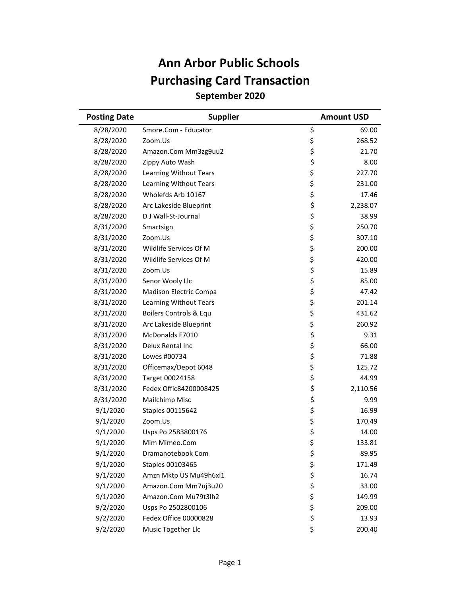## **September 2020 Ann Arbor Public Schools Purchasing Card Transaction**

| <b>Posting Date</b> | <b>Supplier</b>         | <b>Amount USD</b> |  |
|---------------------|-------------------------|-------------------|--|
| 8/28/2020           | Smore.Com - Educator    | \$<br>69.00       |  |
| 8/28/2020           | Zoom.Us                 | \$<br>268.52      |  |
| 8/28/2020           | Amazon.Com Mm3zg9uu2    | \$<br>21.70       |  |
| 8/28/2020           | Zippy Auto Wash         | \$<br>8.00        |  |
| 8/28/2020           | Learning Without Tears  | \$<br>227.70      |  |
| 8/28/2020           | Learning Without Tears  | \$<br>231.00      |  |
| 8/28/2020           | Wholefds Arb 10167      | \$<br>17.46       |  |
| 8/28/2020           | Arc Lakeside Blueprint  | \$<br>2,238.07    |  |
| 8/28/2020           | D J Wall-St-Journal     | \$<br>38.99       |  |
| 8/31/2020           | Smartsign               | \$<br>250.70      |  |
| 8/31/2020           | Zoom.Us                 | \$<br>307.10      |  |
| 8/31/2020           | Wildlife Services Of M  | \$<br>200.00      |  |
| 8/31/2020           | Wildlife Services Of M  | \$<br>420.00      |  |
| 8/31/2020           | Zoom.Us                 | \$<br>15.89       |  |
| 8/31/2020           | Senor Wooly Llc         | \$<br>85.00       |  |
| 8/31/2020           | Madison Electric Compa  | \$<br>47.42       |  |
| 8/31/2020           | Learning Without Tears  | \$<br>201.14      |  |
| 8/31/2020           | Boilers Controls & Equ  | \$<br>431.62      |  |
| 8/31/2020           | Arc Lakeside Blueprint  | \$<br>260.92      |  |
| 8/31/2020           | McDonalds F7010         | \$<br>9.31        |  |
| 8/31/2020           | Delux Rental Inc        | \$<br>66.00       |  |
| 8/31/2020           | Lowes #00734            | \$<br>71.88       |  |
| 8/31/2020           | Officemax/Depot 6048    | \$<br>125.72      |  |
| 8/31/2020           | Target 00024158         | \$<br>44.99       |  |
| 8/31/2020           | Fedex Offic84200008425  | \$<br>2,110.56    |  |
| 8/31/2020           | Mailchimp Misc          | \$<br>9.99        |  |
| 9/1/2020            | <b>Staples 00115642</b> | \$<br>16.99       |  |
| 9/1/2020            | Zoom.Us                 | \$<br>170.49      |  |
| 9/1/2020            | Usps Po 2583800176      | \$<br>14.00       |  |
| 9/1/2020            | Mim Mimeo.Com           | \$<br>133.81      |  |
| 9/1/2020            | Dramanotebook Com       | \$<br>89.95       |  |
| 9/1/2020            | Staples 00103465        | \$<br>171.49      |  |
| 9/1/2020            | Amzn Mktp US Mu49h6xl1  | \$<br>16.74       |  |
| 9/1/2020            | Amazon.Com Mm7uj3u20    | \$<br>33.00       |  |
| 9/1/2020            | Amazon.Com Mu79t3lh2    | \$<br>149.99      |  |
| 9/2/2020            | Usps Po 2502800106      | \$<br>209.00      |  |
| 9/2/2020            | Fedex Office 00000828   | \$<br>13.93       |  |
| 9/2/2020            | Music Together Llc      | \$<br>200.40      |  |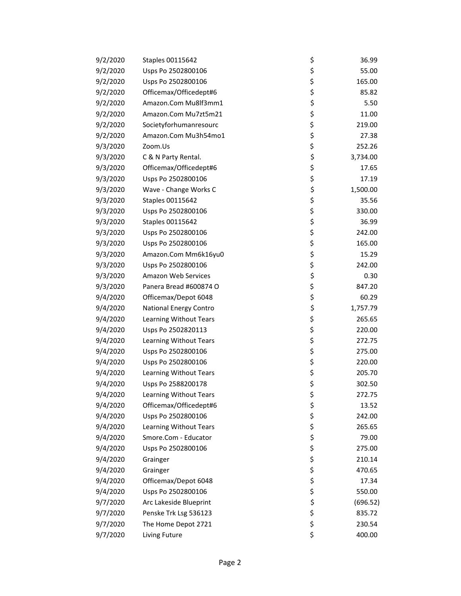| 9/2/2020 | Staples 00115642              | \$<br>36.99    |
|----------|-------------------------------|----------------|
| 9/2/2020 | Usps Po 2502800106            | \$<br>55.00    |
| 9/2/2020 | Usps Po 2502800106            | \$<br>165.00   |
| 9/2/2020 | Officemax/Officedept#6        | \$<br>85.82    |
| 9/2/2020 | Amazon.Com Mu8lf3mm1          | \$<br>5.50     |
| 9/2/2020 | Amazon.Com Mu7zt5m21          | \$<br>11.00    |
| 9/2/2020 | Societyforhumanresourc        | \$<br>219.00   |
| 9/2/2020 | Amazon.Com Mu3h54mo1          | \$<br>27.38    |
| 9/3/2020 | Zoom.Us                       | \$<br>252.26   |
| 9/3/2020 | C & N Party Rental.           | \$<br>3,734.00 |
| 9/3/2020 | Officemax/Officedept#6        | \$<br>17.65    |
| 9/3/2020 | Usps Po 2502800106            | \$<br>17.19    |
| 9/3/2020 | Wave - Change Works C         | \$<br>1,500.00 |
| 9/3/2020 | Staples 00115642              | \$<br>35.56    |
| 9/3/2020 | Usps Po 2502800106            | \$<br>330.00   |
| 9/3/2020 | Staples 00115642              | \$<br>36.99    |
| 9/3/2020 | Usps Po 2502800106            | \$<br>242.00   |
| 9/3/2020 | Usps Po 2502800106            | \$<br>165.00   |
| 9/3/2020 | Amazon.Com Mm6k16yu0          | \$<br>15.29    |
| 9/3/2020 | Usps Po 2502800106            | \$<br>242.00   |
| 9/3/2020 | Amazon Web Services           | \$<br>0.30     |
| 9/3/2020 | Panera Bread #600874 O        | \$<br>847.20   |
| 9/4/2020 | Officemax/Depot 6048          | \$<br>60.29    |
| 9/4/2020 | <b>National Energy Contro</b> | \$<br>1,757.79 |
| 9/4/2020 | Learning Without Tears        | \$<br>265.65   |
| 9/4/2020 | Usps Po 2502820113            | \$<br>220.00   |
| 9/4/2020 | Learning Without Tears        | \$<br>272.75   |
| 9/4/2020 | Usps Po 2502800106            | \$<br>275.00   |
| 9/4/2020 | Usps Po 2502800106            | \$<br>220.00   |
| 9/4/2020 | Learning Without Tears        | \$<br>205.70   |
| 9/4/2020 | Usps Po 2588200178            | \$<br>302.50   |
| 9/4/2020 | Learning Without Tears        | \$<br>272.75   |
| 9/4/2020 | Officemax/Officedept#6        | \$<br>13.52    |
| 9/4/2020 | Usps Po 2502800106            | \$<br>242.00   |
| 9/4/2020 | Learning Without Tears        | \$<br>265.65   |
| 9/4/2020 | Smore.Com - Educator          | \$<br>79.00    |
| 9/4/2020 | Usps Po 2502800106            | \$<br>275.00   |
| 9/4/2020 | Grainger                      | \$<br>210.14   |
| 9/4/2020 | Grainger                      | \$<br>470.65   |
| 9/4/2020 | Officemax/Depot 6048          | \$<br>17.34    |
| 9/4/2020 | Usps Po 2502800106            | \$<br>550.00   |
| 9/7/2020 | Arc Lakeside Blueprint        | \$<br>(696.52) |
| 9/7/2020 | Penske Trk Lsg 536123         | \$<br>835.72   |
| 9/7/2020 | The Home Depot 2721           | \$<br>230.54   |
| 9/7/2020 | Living Future                 | \$<br>400.00   |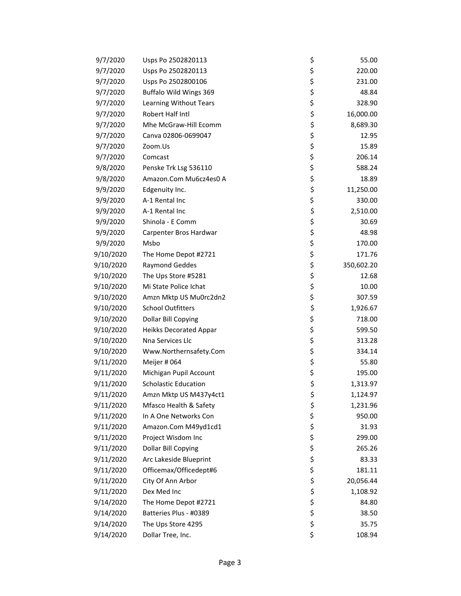| 9/7/2020  | Usps Po 2502820113            | \$<br>55.00      |
|-----------|-------------------------------|------------------|
| 9/7/2020  | Usps Po 2502820113            | \$<br>220.00     |
| 9/7/2020  | Usps Po 2502800106            | \$<br>231.00     |
| 9/7/2020  | Buffalo Wild Wings 369        | \$<br>48.84      |
| 9/7/2020  | Learning Without Tears        | \$<br>328.90     |
| 9/7/2020  | Robert Half Intl              | \$<br>16,000.00  |
| 9/7/2020  | Mhe McGraw-Hill Ecomm         | \$<br>8,689.30   |
| 9/7/2020  | Canva 02806-0699047           | \$<br>12.95      |
| 9/7/2020  | Zoom.Us                       | \$<br>15.89      |
| 9/7/2020  | Comcast                       | \$<br>206.14     |
| 9/8/2020  | Penske Trk Lsg 536110         | \$<br>588.24     |
| 9/8/2020  | Amazon.Com Mu6cz4es0 A        | \$<br>18.89      |
| 9/9/2020  | Edgenuity Inc.                | \$<br>11,250.00  |
| 9/9/2020  | A-1 Rental Inc                | \$<br>330.00     |
| 9/9/2020  | A-1 Rental Inc                | \$<br>2,510.00   |
| 9/9/2020  | Shinola - E Comm              | \$<br>30.69      |
| 9/9/2020  | Carpenter Bros Hardwar        | \$<br>48.98      |
| 9/9/2020  | Msbo                          | \$<br>170.00     |
| 9/10/2020 | The Home Depot #2721          | \$<br>171.76     |
| 9/10/2020 | <b>Raymond Geddes</b>         | \$<br>350,602.20 |
| 9/10/2020 | The Ups Store #5281           | \$<br>12.68      |
| 9/10/2020 | Mi State Police Ichat         | \$<br>10.00      |
| 9/10/2020 | Amzn Mktp US Mu0rc2dn2        | \$<br>307.59     |
| 9/10/2020 | <b>School Outfitters</b>      | \$<br>1,926.67   |
| 9/10/2020 | Dollar Bill Copying           | \$<br>718.00     |
| 9/10/2020 | <b>Heikks Decorated Appar</b> | \$<br>599.50     |
| 9/10/2020 | Nna Services Llc              | \$<br>313.28     |
| 9/10/2020 | Www.Northernsafety.Com        | \$<br>334.14     |
| 9/11/2020 | Meijer # 064                  | \$<br>55.80      |
| 9/11/2020 | Michigan Pupil Account        | \$<br>195.00     |
| 9/11/2020 | <b>Scholastic Education</b>   | \$<br>1,313.97   |
| 9/11/2020 | Amzn Mktp US M437y4ct1        | \$<br>1,124.97   |
| 9/11/2020 | Mfasco Health & Safety        | \$<br>1,231.96   |
| 9/11/2020 | In A One Networks Con         | \$<br>950.00     |
| 9/11/2020 | Amazon.Com M49yd1cd1          | \$<br>31.93      |
| 9/11/2020 | Project Wisdom Inc            | \$<br>299.00     |
| 9/11/2020 | Dollar Bill Copying           | \$<br>265.26     |
| 9/11/2020 | Arc Lakeside Blueprint        | \$<br>83.33      |
| 9/11/2020 | Officemax/Officedept#6        | \$<br>181.11     |
| 9/11/2020 | City Of Ann Arbor             | \$<br>20,056.44  |
| 9/11/2020 | Dex Med Inc                   | \$<br>1,108.92   |
| 9/14/2020 | The Home Depot #2721          | \$<br>84.80      |
| 9/14/2020 | Batteries Plus - #0389        | \$<br>38.50      |
| 9/14/2020 | The Ups Store 4295            | \$<br>35.75      |
| 9/14/2020 | Dollar Tree, Inc.             | \$<br>108.94     |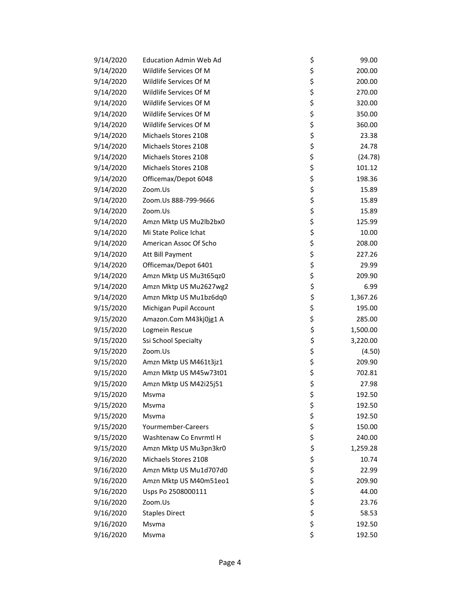| 9/14/2020 | <b>Education Admin Web Ad</b> | \$<br>99.00    |
|-----------|-------------------------------|----------------|
| 9/14/2020 | Wildlife Services Of M        | \$<br>200.00   |
| 9/14/2020 | Wildlife Services Of M        | \$<br>200.00   |
| 9/14/2020 | Wildlife Services Of M        | \$<br>270.00   |
| 9/14/2020 | Wildlife Services Of M        | \$<br>320.00   |
| 9/14/2020 | Wildlife Services Of M        | \$<br>350.00   |
| 9/14/2020 | Wildlife Services Of M        | \$<br>360.00   |
| 9/14/2020 | Michaels Stores 2108          | \$<br>23.38    |
| 9/14/2020 | Michaels Stores 2108          | \$<br>24.78    |
| 9/14/2020 | Michaels Stores 2108          | \$<br>(24.78)  |
| 9/14/2020 | Michaels Stores 2108          | \$<br>101.12   |
| 9/14/2020 | Officemax/Depot 6048          | \$<br>198.36   |
| 9/14/2020 | Zoom.Us                       | \$<br>15.89    |
| 9/14/2020 | Zoom.Us 888-799-9666          | \$<br>15.89    |
| 9/14/2020 | Zoom.Us                       | \$<br>15.89    |
| 9/14/2020 | Amzn Mktp US Mu2lb2bx0        | \$<br>125.99   |
| 9/14/2020 | Mi State Police Ichat         | \$<br>10.00    |
| 9/14/2020 | American Assoc Of Scho        | \$<br>208.00   |
| 9/14/2020 | Att Bill Payment              | \$<br>227.26   |
| 9/14/2020 | Officemax/Depot 6401          | \$<br>29.99    |
| 9/14/2020 | Amzn Mktp US Mu3t65qz0        | \$<br>209.90   |
| 9/14/2020 | Amzn Mktp US Mu2627wg2        | \$<br>6.99     |
| 9/14/2020 | Amzn Mktp US Mu1bz6dq0        | \$<br>1,367.26 |
| 9/15/2020 | Michigan Pupil Account        | \$<br>195.00   |
| 9/15/2020 | Amazon.Com M43kj0jg1 A        | \$<br>285.00   |
| 9/15/2020 | Logmein Rescue                | \$<br>1,500.00 |
| 9/15/2020 | Ssi School Specialty          | \$<br>3,220.00 |
| 9/15/2020 | Zoom.Us                       | \$<br>(4.50)   |
| 9/15/2020 | Amzn Mktp US M461t3jz1        | \$<br>209.90   |
| 9/15/2020 | Amzn Mktp US M45w73t01        | \$<br>702.81   |
| 9/15/2020 | Amzn Mktp US M42i25j51        | \$<br>27.98    |
| 9/15/2020 | Msvma                         | \$<br>192.50   |
| 9/15/2020 | Msvma                         | \$<br>192.50   |
| 9/15/2020 | Msvma                         | \$<br>192.50   |
| 9/15/2020 | Yourmember-Careers            | \$<br>150.00   |
| 9/15/2020 | Washtenaw Co Envrmtl H        | \$<br>240.00   |
| 9/15/2020 | Amzn Mktp US Mu3pn3kr0        | \$<br>1,259.28 |
| 9/16/2020 | Michaels Stores 2108          | \$<br>10.74    |
| 9/16/2020 | Amzn Mktp US Mu1d707d0        | \$<br>22.99    |
| 9/16/2020 | Amzn Mktp US M40m51eo1        | \$<br>209.90   |
| 9/16/2020 | Usps Po 2508000111            | \$<br>44.00    |
| 9/16/2020 | Zoom.Us                       | \$<br>23.76    |
| 9/16/2020 | <b>Staples Direct</b>         | \$<br>58.53    |
| 9/16/2020 | Msvma                         | \$<br>192.50   |
| 9/16/2020 | Msvma                         | \$<br>192.50   |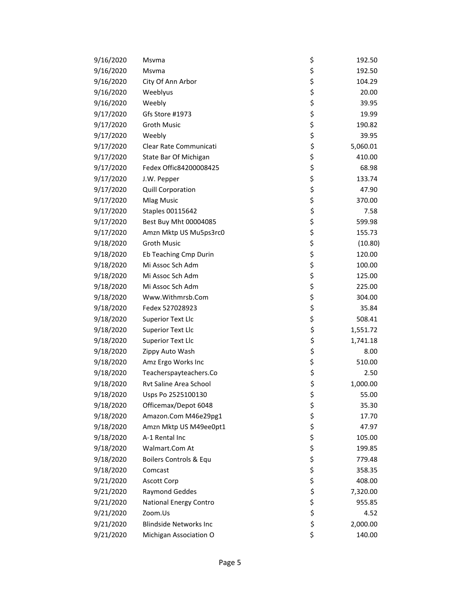| 9/16/2020 | Msvma                         | \$<br>192.50   |
|-----------|-------------------------------|----------------|
| 9/16/2020 | Msvma                         | \$<br>192.50   |
| 9/16/2020 | City Of Ann Arbor             | \$<br>104.29   |
| 9/16/2020 | Weeblyus                      | \$<br>20.00    |
| 9/16/2020 | Weebly                        | \$<br>39.95    |
| 9/17/2020 | Gfs Store #1973               | \$<br>19.99    |
| 9/17/2020 | <b>Groth Music</b>            | \$<br>190.82   |
| 9/17/2020 | Weebly                        | \$<br>39.95    |
| 9/17/2020 | Clear Rate Communicati        | \$<br>5,060.01 |
| 9/17/2020 | State Bar Of Michigan         | \$<br>410.00   |
| 9/17/2020 | Fedex Offic84200008425        | \$<br>68.98    |
| 9/17/2020 | J.W. Pepper                   | \$<br>133.74   |
| 9/17/2020 | <b>Quill Corporation</b>      | \$<br>47.90    |
| 9/17/2020 | <b>Mlag Music</b>             | \$<br>370.00   |
| 9/17/2020 | Staples 00115642              | \$<br>7.58     |
| 9/17/2020 | Best Buy Mht 00004085         | \$<br>599.98   |
| 9/17/2020 | Amzn Mktp US Mu5ps3rc0        | \$<br>155.73   |
| 9/18/2020 | <b>Groth Music</b>            | \$<br>(10.80)  |
| 9/18/2020 | Eb Teaching Cmp Durin         | \$<br>120.00   |
| 9/18/2020 | Mi Assoc Sch Adm              | \$<br>100.00   |
| 9/18/2020 | Mi Assoc Sch Adm              | \$<br>125.00   |
| 9/18/2020 | Mi Assoc Sch Adm              | \$<br>225.00   |
| 9/18/2020 | Www.Withmrsb.Com              | \$<br>304.00   |
| 9/18/2020 | Fedex 527028923               | \$<br>35.84    |
| 9/18/2020 | <b>Superior Text Llc</b>      | \$<br>508.41   |
| 9/18/2020 | <b>Superior Text Llc</b>      | \$<br>1,551.72 |
| 9/18/2020 | <b>Superior Text Llc</b>      | \$<br>1,741.18 |
| 9/18/2020 | Zippy Auto Wash               | \$<br>8.00     |
| 9/18/2020 | Amz Ergo Works Inc            | \$<br>510.00   |
| 9/18/2020 | Teacherspayteachers.Co        | \$<br>2.50     |
| 9/18/2020 | Rvt Saline Area School        | \$<br>1,000.00 |
| 9/18/2020 | Usps Po 2525100130            | \$<br>55.00    |
| 9/18/2020 | Officemax/Depot 6048          | \$<br>35.30    |
| 9/18/2020 | Amazon.Com M46e29pg1          | \$<br>17.70    |
| 9/18/2020 | Amzn Mktp US M49ee0pt1        | \$<br>47.97    |
| 9/18/2020 | A-1 Rental Inc                | \$<br>105.00   |
| 9/18/2020 | Walmart.Com At                | \$<br>199.85   |
| 9/18/2020 | Boilers Controls & Equ        | \$<br>779.48   |
| 9/18/2020 | Comcast                       | \$<br>358.35   |
| 9/21/2020 | <b>Ascott Corp</b>            | \$<br>408.00   |
| 9/21/2020 | <b>Raymond Geddes</b>         | \$<br>7,320.00 |
| 9/21/2020 | National Energy Contro        | \$<br>955.85   |
| 9/21/2020 | Zoom.Us                       | \$<br>4.52     |
| 9/21/2020 | <b>Blindside Networks Inc</b> | \$<br>2,000.00 |
| 9/21/2020 | Michigan Association O        | \$<br>140.00   |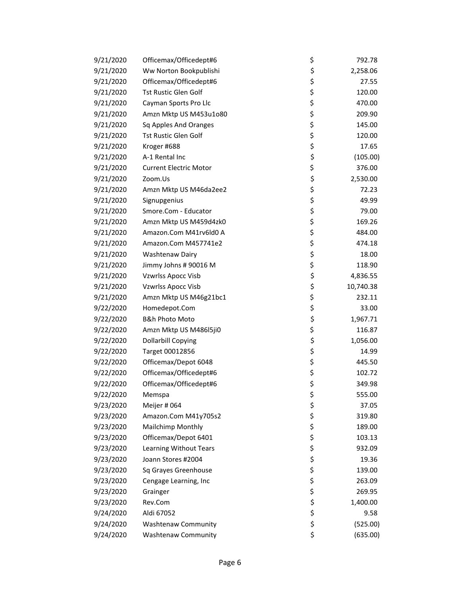| 9/21/2020 | Officemax/Officedept#6        | \$<br>792.78    |
|-----------|-------------------------------|-----------------|
| 9/21/2020 | Ww Norton Bookpublishi        | \$<br>2,258.06  |
| 9/21/2020 | Officemax/Officedept#6        | \$<br>27.55     |
| 9/21/2020 | <b>Tst Rustic Glen Golf</b>   | \$<br>120.00    |
| 9/21/2020 | Cayman Sports Pro Llc         | \$<br>470.00    |
| 9/21/2020 | Amzn Mktp US M453u1o80        | \$<br>209.90    |
| 9/21/2020 | Sq Apples And Oranges         | \$<br>145.00    |
| 9/21/2020 | Tst Rustic Glen Golf          | \$<br>120.00    |
| 9/21/2020 | Kroger #688                   | \$<br>17.65     |
| 9/21/2020 | A-1 Rental Inc                | \$<br>(105.00)  |
| 9/21/2020 | <b>Current Electric Motor</b> | \$<br>376.00    |
| 9/21/2020 | Zoom.Us                       | \$<br>2,530.00  |
| 9/21/2020 | Amzn Mktp US M46da2ee2        | \$<br>72.23     |
| 9/21/2020 | Signupgenius                  | \$<br>49.99     |
| 9/21/2020 | Smore.Com - Educator          | \$<br>79.00     |
| 9/21/2020 | Amzn Mktp US M459d4zk0        | \$<br>169.26    |
| 9/21/2020 | Amazon.Com M41rv6ld0 A        | \$<br>484.00    |
| 9/21/2020 | Amazon.Com M457741e2          | \$<br>474.18    |
| 9/21/2020 | Washtenaw Dairy               | \$<br>18.00     |
| 9/21/2020 | Jimmy Johns # 90016 M         | \$<br>118.90    |
| 9/21/2020 | Vzwrlss Apocc Visb            | \$<br>4,836.55  |
| 9/21/2020 | Vzwrlss Apocc Visb            | \$<br>10,740.38 |
| 9/21/2020 | Amzn Mktp US M46g21bc1        | \$<br>232.11    |
| 9/22/2020 | Homedepot.Com                 | \$<br>33.00     |
| 9/22/2020 | <b>B&amp;h Photo Moto</b>     | \$<br>1,967.71  |
| 9/22/2020 | Amzn Mktp US M486l5ji0        | \$<br>116.87    |
| 9/22/2020 | <b>Dollarbill Copying</b>     | \$<br>1,056.00  |
| 9/22/2020 | Target 00012856               | \$<br>14.99     |
| 9/22/2020 | Officemax/Depot 6048          | \$<br>445.50    |
| 9/22/2020 | Officemax/Officedept#6        | \$<br>102.72    |
| 9/22/2020 | Officemax/Officedept#6        | \$<br>349.98    |
| 9/22/2020 | Memspa                        | \$<br>555.00    |
| 9/23/2020 | Meijer # 064                  | \$<br>37.05     |
| 9/23/2020 | Amazon.Com M41y705s2          | \$<br>319.80    |
| 9/23/2020 | Mailchimp Monthly             | \$<br>189.00    |
| 9/23/2020 | Officemax/Depot 6401          | \$<br>103.13    |
| 9/23/2020 | Learning Without Tears        | \$<br>932.09    |
| 9/23/2020 | Joann Stores #2004            | \$<br>19.36     |
| 9/23/2020 | Sq Grayes Greenhouse          | \$<br>139.00    |
| 9/23/2020 | Cengage Learning, Inc         | \$<br>263.09    |
| 9/23/2020 | Grainger                      | \$<br>269.95    |
| 9/23/2020 | Rev.Com                       | \$<br>1,400.00  |
| 9/24/2020 | Aldi 67052                    | \$<br>9.58      |
| 9/24/2020 | <b>Washtenaw Community</b>    | \$<br>(525.00)  |
| 9/24/2020 | <b>Washtenaw Community</b>    | \$<br>(635.00)  |